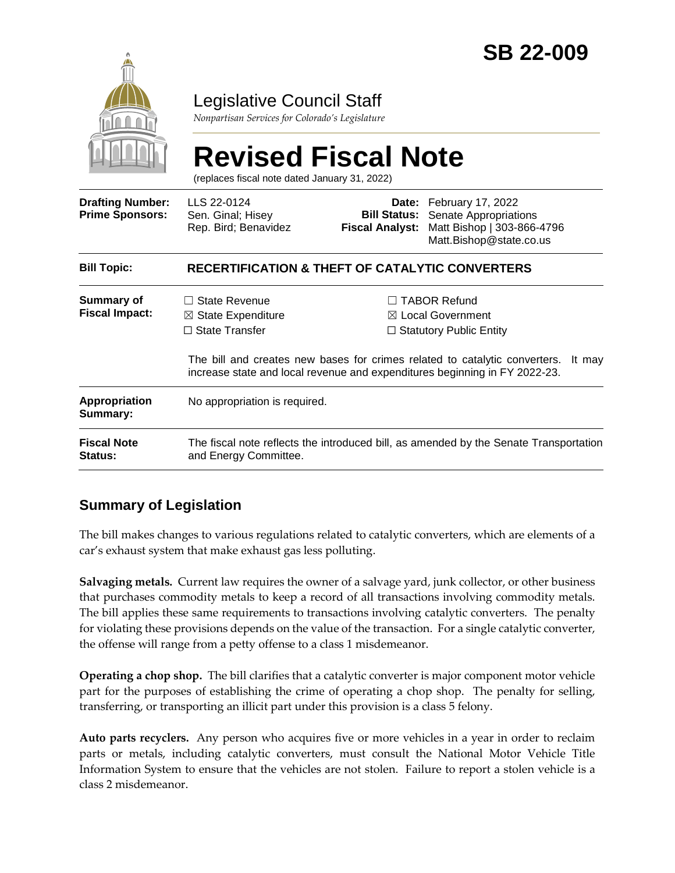

### Legislative Council Staff

*Nonpartisan Services for Colorado's Legislature*

# **Revised Fiscal Note**

(replaces fiscal note dated January 31, 2022)

| <b>Drafting Number:</b><br><b>Prime Sponsors:</b> | LLS 22-0124<br>Sen. Ginal; Hisey<br>Rep. Bird; Benavidez                                                       | <b>Fiscal Analyst:</b> | Date: February 17, 2022<br><b>Bill Status:</b> Senate Appropriations<br>Matt Bishop   303-866-4796<br>Matt.Bishop@state.co.us                                                                                                                               |
|---------------------------------------------------|----------------------------------------------------------------------------------------------------------------|------------------------|-------------------------------------------------------------------------------------------------------------------------------------------------------------------------------------------------------------------------------------------------------------|
| <b>Bill Topic:</b>                                | <b>RECERTIFICATION &amp; THEFT OF CATALYTIC CONVERTERS</b>                                                     |                        |                                                                                                                                                                                                                                                             |
| Summary of<br><b>Fiscal Impact:</b>               | $\Box$ State Revenue<br>$\boxtimes$ State Expenditure<br>$\Box$ State Transfer                                 |                        | <b>TABOR Refund</b><br>$\boxtimes$ Local Government<br>$\Box$ Statutory Public Entity<br>The bill and creates new bases for crimes related to catalytic converters.<br>It may<br>increase state and local revenue and expenditures beginning in FY 2022-23. |
| <b>Appropriation</b><br>Summary:                  | No appropriation is required.                                                                                  |                        |                                                                                                                                                                                                                                                             |
| <b>Fiscal Note</b><br><b>Status:</b>              | The fiscal note reflects the introduced bill, as amended by the Senate Transportation<br>and Energy Committee. |                        |                                                                                                                                                                                                                                                             |

#### **Summary of Legislation**

The bill makes changes to various regulations related to catalytic converters, which are elements of a car's exhaust system that make exhaust gas less polluting.

**Salvaging metals.** Current law requires the owner of a salvage yard, junk collector, or other business that purchases commodity metals to keep a record of all transactions involving commodity metals. The bill applies these same requirements to transactions involving catalytic converters. The penalty for violating these provisions depends on the value of the transaction. For a single catalytic converter, the offense will range from a petty offense to a class 1 misdemeanor.

**Operating a chop shop.** The bill clarifies that a catalytic converter is major component motor vehicle part for the purposes of establishing the crime of operating a chop shop. The penalty for selling, transferring, or transporting an illicit part under this provision is a class 5 felony.

**Auto parts recyclers.** Any person who acquires five or more vehicles in a year in order to reclaim parts or metals, including catalytic converters, must consult the National Motor Vehicle Title Information System to ensure that the vehicles are not stolen. Failure to report a stolen vehicle is a class 2 misdemeanor.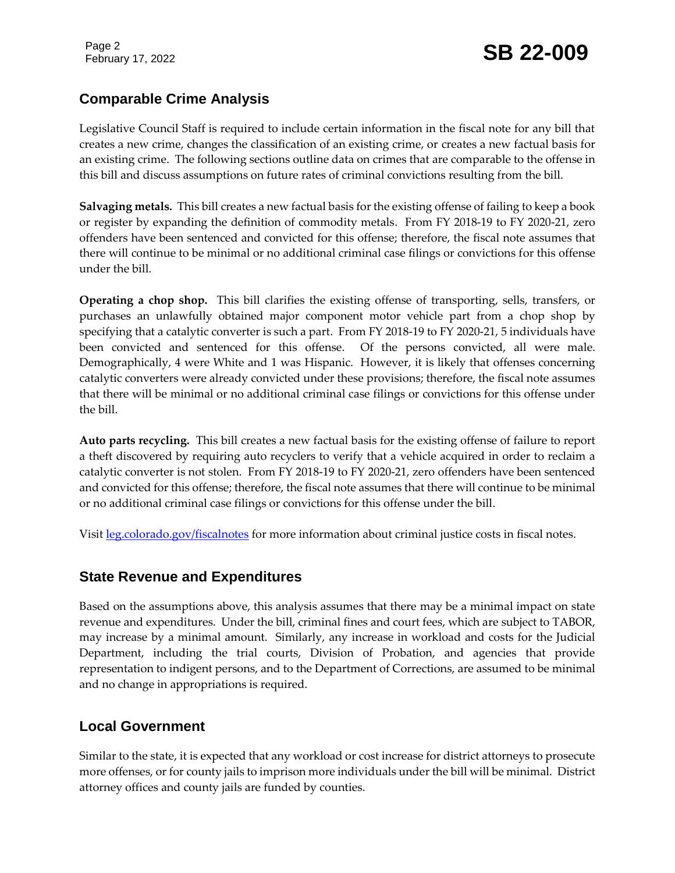## February 17, 2022 **SB 22-009**

#### **Comparable Crime Analysis**

Legislative Council Staff is required to include certain information in the fiscal note for any bill that creates a new crime, changes the classification of an existing crime, or creates a new factual basis for an existing crime. The following sections outline data on crimes that are comparable to the offense in this bill and discuss assumptions on future rates of criminal convictions resulting from the bill.

**Salvaging metals.** This bill creates a new factual basis for the existing offense of failing to keep a book or register by expanding the definition of commodity metals. From FY 2018-19 to FY 2020-21, zero offenders have been sentenced and convicted for this offense; therefore, the fiscal note assumes that there will continue to be minimal or no additional criminal case filings or convictions for this offense under the bill.

**Operating a chop shop.** This bill clarifies the existing offense of transporting, sells, transfers, or purchases an unlawfully obtained major component motor vehicle part from a chop shop by specifying that a catalytic converter is such a part. From FY 2018-19 to FY 2020-21, 5 individuals have been convicted and sentenced for this offense. Of the persons convicted, all were male. Demographically, 4 were White and 1 was Hispanic. However, it is likely that offenses concerning catalytic converters were already convicted under these provisions; therefore, the fiscal note assumes that there will be minimal or no additional criminal case filings or convictions for this offense under the bill.

**Auto parts recycling.** This bill creates a new factual basis for the existing offense of failure to report a theft discovered by requiring auto recyclers to verify that a vehicle acquired in order to reclaim a catalytic converter is not stolen. From FY 2018-19 to FY 2020-21, zero offenders have been sentenced and convicted for this offense; therefore, the fiscal note assumes that there will continue to be minimal or no additional criminal case filings or convictions for this offense under the bill.

Visit [leg.colorado.gov/fiscalnotes](http://leg.colorado.gov/fiscalnotes/) for more information about criminal justice costs in fiscal notes.

#### **State Revenue and Expenditures**

Based on the assumptions above, this analysis assumes that there may be a minimal impact on state revenue and expenditures. Under the bill, criminal fines and court fees, which are subject to TABOR, may increase by a minimal amount. Similarly, any increase in workload and costs for the Judicial Department, including the trial courts, Division of Probation, and agencies that provide representation to indigent persons, and to the Department of Corrections, are assumed to be minimal and no change in appropriations is required.

#### **Local Government**

Similar to the state, it is expected that any workload or cost increase for district attorneys to prosecute more offenses, or for county jails to imprison more individuals under the bill will be minimal. District attorney offices and county jails are funded by counties.